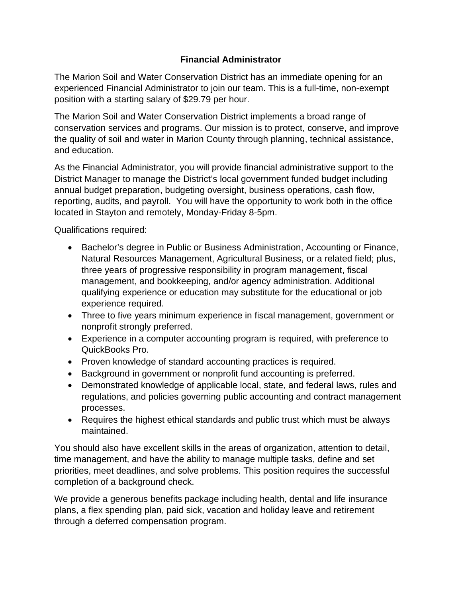## **Financial Administrator**

The Marion Soil and Water Conservation District has an immediate opening for an experienced Financial Administrator to join our team. This is a full-time, non-exempt position with a starting salary of \$29.79 per hour.

The Marion Soil and Water Conservation District implements a broad range of conservation services and programs. Our mission is to protect, conserve, and improve the quality of soil and water in Marion County through planning, technical assistance, and education.

As the Financial Administrator, you will provide financial administrative support to the District Manager to manage the District's local government funded budget including annual budget preparation, budgeting oversight, business operations, cash flow, reporting, audits, and payroll. You will have the opportunity to work both in the office located in Stayton and remotely, Monday-Friday 8-5pm.

Qualifications required:

- Bachelor's degree in Public or Business Administration, Accounting or Finance, Natural Resources Management, Agricultural Business, or a related field; plus, three years of progressive responsibility in program management, fiscal management, and bookkeeping, and/or agency administration. Additional qualifying experience or education may substitute for the educational or job experience required.
- Three to five years minimum experience in fiscal management, government or nonprofit strongly preferred.
- Experience in a computer accounting program is required, with preference to QuickBooks Pro.
- Proven knowledge of standard accounting practices is required.
- Background in government or nonprofit fund accounting is preferred.
- Demonstrated knowledge of applicable local, state, and federal laws, rules and regulations, and policies governing public accounting and contract management processes.
- Requires the highest ethical standards and public trust which must be always maintained.

You should also have excellent skills in the areas of organization, attention to detail, time management, and have the ability to manage multiple tasks, define and set priorities, meet deadlines, and solve problems. This position requires the successful completion of a background check.

We provide a generous benefits package including health, dental and life insurance plans, a flex spending plan, paid sick, vacation and holiday leave and retirement through a deferred compensation program.